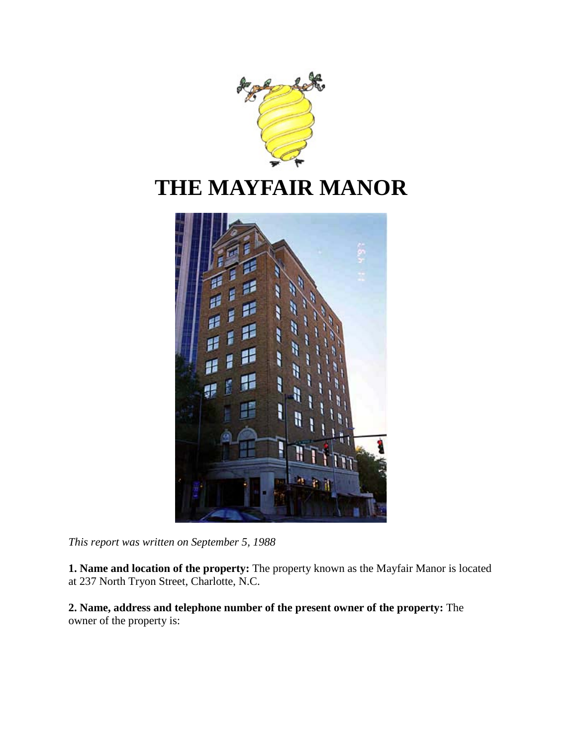

# **THE MAYFAIR MANOR**



*This report was written on September 5, 1988*

**1. Name and location of the property:** The property known as the Mayfair Manor is located at 237 North Tryon Street, Charlotte, N.C.

**2. Name, address and telephone number of the present owner of the property:** The owner of the property is: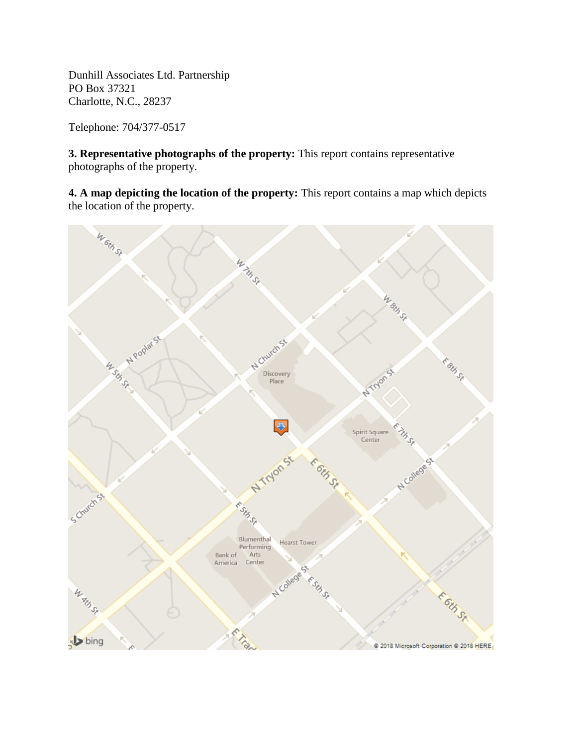Dunhill Associates Ltd. Partnership PO Box 37321 Charlotte, N.C., 28237

Telephone: 704/377-0517

**3. Representative photographs of the property:** This report contains representative photographs of the property.

**4. A map depicting the location of the property:** This report contains a map which depicts the location of the property.

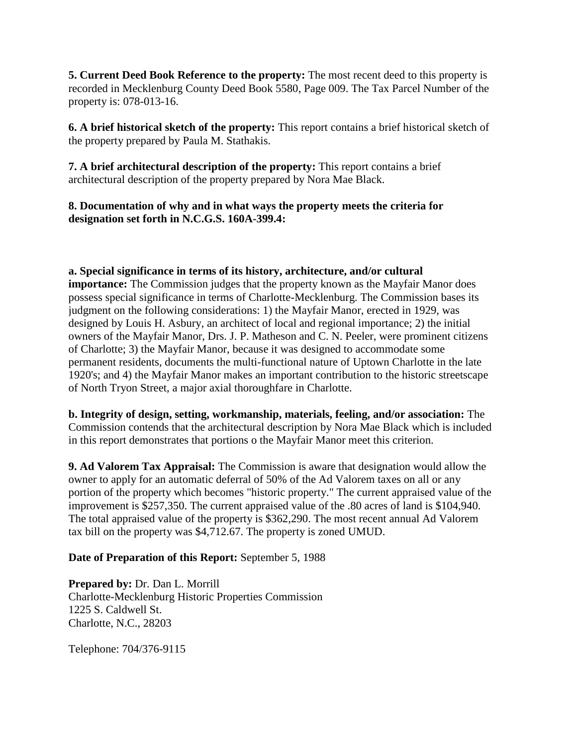**5. Current Deed Book Reference to the property:** The most recent deed to this property is recorded in Mecklenburg County Deed Book 5580, Page 009. The Tax Parcel Number of the property is: 078-013-16.

**6. A brief historical sketch of the property:** This report contains a brief historical sketch of the property prepared by Paula M. Stathakis.

**7. A brief architectural description of the property:** This report contains a brief architectural description of the property prepared by Nora Mae Black.

### **8. Documentation of why and in what ways the property meets the criteria for designation set forth in N.C.G.S. 160A-399.4:**

### **a. Special significance in terms of its history, architecture, and/or cultural**

**importance:** The Commission judges that the property known as the Mayfair Manor does possess special significance in terms of Charlotte-Mecklenburg. The Commission bases its judgment on the following considerations: 1) the Mayfair Manor, erected in 1929, was designed by Louis H. Asbury, an architect of local and regional importance; 2) the initial owners of the Mayfair Manor, Drs. J. P. Matheson and C. N. Peeler, were prominent citizens of Charlotte; 3) the Mayfair Manor, because it was designed to accommodate some permanent residents, documents the multi-functional nature of Uptown Charlotte in the late 1920's; and 4) the Mayfair Manor makes an important contribution to the historic streetscape of North Tryon Street, a major axial thoroughfare in Charlotte.

**b. Integrity of design, setting, workmanship, materials, feeling, and/or association:** The Commission contends that the architectural description by Nora Mae Black which is included in this report demonstrates that portions o the Mayfair Manor meet this criterion.

**9. Ad Valorem Tax Appraisal:** The Commission is aware that designation would allow the owner to apply for an automatic deferral of 50% of the Ad Valorem taxes on all or any portion of the property which becomes "historic property." The current appraised value of the improvement is \$257,350. The current appraised value of the .80 acres of land is \$104,940. The total appraised value of the property is \$362,290. The most recent annual Ad Valorem tax bill on the property was \$4,712.67. The property is zoned UMUD.

### **Date of Preparation of this Report:** September 5, 1988

**Prepared by:** Dr. Dan L. Morrill Charlotte-Mecklenburg Historic Properties Commission 1225 S. Caldwell St. Charlotte, N.C., 28203

Telephone: 704/376-9115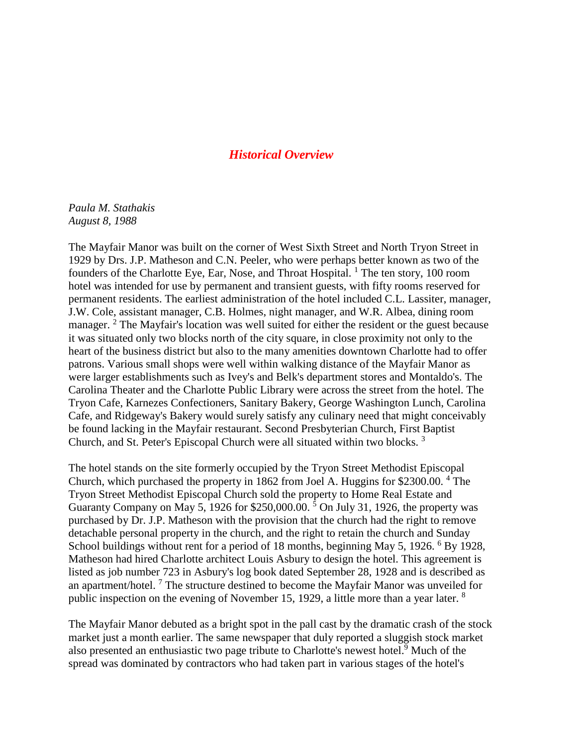### *Historical Overview*

*Paula M. Stathakis August 8, 1988*

The Mayfair Manor was built on the corner of West Sixth Street and North Tryon Street in 1929 by Drs. J.P. Matheson and C.N. Peeler, who were perhaps better known as two of the founders of the Charlotte Eye, Ear, Nose, and Throat Hospital.<sup>1</sup> The ten story, 100 room hotel was intended for use by permanent and transient guests, with fifty rooms reserved for permanent residents. The earliest administration of the hotel included C.L. Lassiter, manager, J.W. Cole, assistant manager, C.B. Holmes, night manager, and W.R. Albea, dining room manager. <sup>2</sup> The Mayfair's location was well suited for either the resident or the guest because it was situated only two blocks north of the city square, in close proximity not only to the heart of the business district but also to the many amenities downtown Charlotte had to offer patrons. Various small shops were well within walking distance of the Mayfair Manor as were larger establishments such as Ivey's and Belk's department stores and Montaldo's. The Carolina Theater and the Charlotte Public Library were across the street from the hotel. The Tryon Cafe, Karnezes Confectioners, Sanitary Bakery, George Washington Lunch, Carolina Cafe, and Ridgeway's Bakery would surely satisfy any culinary need that might conceivably be found lacking in the Mayfair restaurant. Second Presbyterian Church, First Baptist Church, and St. Peter's Episcopal Church were all situated within two blocks. <sup>3</sup>

The hotel stands on the site formerly occupied by the Tryon Street Methodist Episcopal Church, which purchased the property in 1862 from Joel A. Huggins for \$2300.00. <sup>4</sup> The Tryon Street Methodist Episcopal Church sold the property to Home Real Estate and Guaranty Company on May 5, 1926 for \$250,000.00.<sup>5</sup> On July 31, 1926, the property was purchased by Dr. J.P. Matheson with the provision that the church had the right to remove detachable personal property in the church, and the right to retain the church and Sunday School buildings without rent for a period of 18 months, beginning May 5, 1926. <sup>6</sup> By 1928, Matheson had hired Charlotte architect Louis Asbury to design the hotel. This agreement is listed as job number 723 in Asbury's log book dated September 28, 1928 and is described as an apartment/hotel.<sup>7</sup> The structure destined to become the Mayfair Manor was unveiled for public inspection on the evening of November 15, 1929, a little more than a year later. <sup>8</sup>

The Mayfair Manor debuted as a bright spot in the pall cast by the dramatic crash of the stock market just a month earlier. The same newspaper that duly reported a sluggish stock market also presented an enthusiastic two page tribute to Charlotte's newest hotel.<sup>9</sup> Much of the spread was dominated by contractors who had taken part in various stages of the hotel's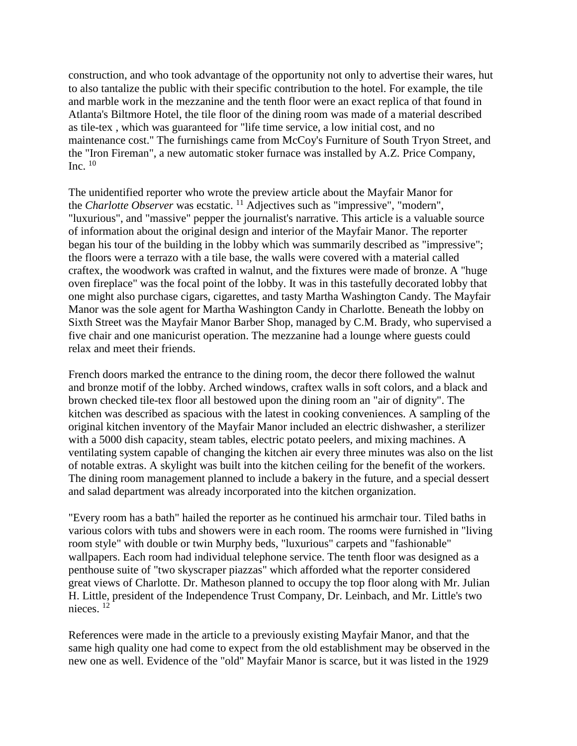construction, and who took advantage of the opportunity not only to advertise their wares, hut to also tantalize the public with their specific contribution to the hotel. For example, the tile and marble work in the mezzanine and the tenth floor were an exact replica of that found in Atlanta's Biltmore Hotel, the tile floor of the dining room was made of a material described as tile-tex , which was guaranteed for "life time service, a low initial cost, and no maintenance cost." The furnishings came from McCoy's Furniture of South Tryon Street, and the "Iron Fireman", a new automatic stoker furnace was installed by A.Z. Price Company, Inc.  $10$ 

The unidentified reporter who wrote the preview article about the Mayfair Manor for the *Charlotte Observer* was ecstatic. <sup>11</sup> Adjectives such as "impressive", "modern", "luxurious", and "massive" pepper the journalist's narrative. This article is a valuable source of information about the original design and interior of the Mayfair Manor. The reporter began his tour of the building in the lobby which was summarily described as "impressive"; the floors were a terrazo with a tile base, the walls were covered with a material called craftex, the woodwork was crafted in walnut, and the fixtures were made of bronze. A "huge oven fireplace" was the focal point of the lobby. It was in this tastefully decorated lobby that one might also purchase cigars, cigarettes, and tasty Martha Washington Candy. The Mayfair Manor was the sole agent for Martha Washington Candy in Charlotte. Beneath the lobby on Sixth Street was the Mayfair Manor Barber Shop, managed by C.M. Brady, who supervised a five chair and one manicurist operation. The mezzanine had a lounge where guests could relax and meet their friends.

French doors marked the entrance to the dining room, the decor there followed the walnut and bronze motif of the lobby. Arched windows, craftex walls in soft colors, and a black and brown checked tile-tex floor all bestowed upon the dining room an "air of dignity". The kitchen was described as spacious with the latest in cooking conveniences. A sampling of the original kitchen inventory of the Mayfair Manor included an electric dishwasher, a sterilizer with a 5000 dish capacity, steam tables, electric potato peelers, and mixing machines. A ventilating system capable of changing the kitchen air every three minutes was also on the list of notable extras. A skylight was built into the kitchen ceiling for the benefit of the workers. The dining room management planned to include a bakery in the future, and a special dessert and salad department was already incorporated into the kitchen organization.

"Every room has a bath" hailed the reporter as he continued his armchair tour. Tiled baths in various colors with tubs and showers were in each room. The rooms were furnished in "living room style" with double or twin Murphy beds, "luxurious" carpets and "fashionable" wallpapers. Each room had individual telephone service. The tenth floor was designed as a penthouse suite of "two skyscraper piazzas" which afforded what the reporter considered great views of Charlotte. Dr. Matheson planned to occupy the top floor along with Mr. Julian H. Little, president of the Independence Trust Company, Dr. Leinbach, and Mr. Little's two nieces. <sup>12</sup>

References were made in the article to a previously existing Mayfair Manor, and that the same high quality one had come to expect from the old establishment may be observed in the new one as well. Evidence of the "old" Mayfair Manor is scarce, but it was listed in the 1929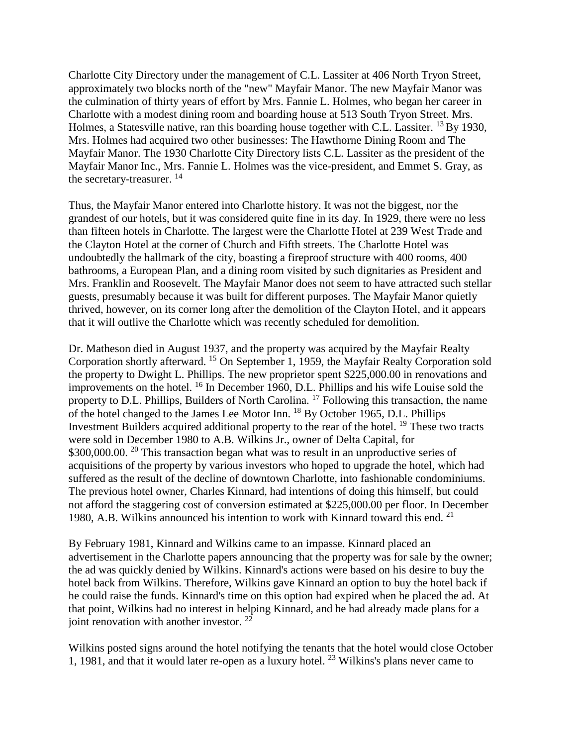Charlotte City Directory under the management of C.L. Lassiter at 406 North Tryon Street, approximately two blocks north of the "new" Mayfair Manor. The new Mayfair Manor was the culmination of thirty years of effort by Mrs. Fannie L. Holmes, who began her career in Charlotte with a modest dining room and boarding house at 513 South Tryon Street. Mrs. Holmes, a Statesville native, ran this boarding house together with C.L. Lassiter. <sup>13</sup> By 1930, Mrs. Holmes had acquired two other businesses: The Hawthorne Dining Room and The Mayfair Manor. The 1930 Charlotte City Directory lists C.L. Lassiter as the president of the Mayfair Manor Inc., Mrs. Fannie L. Holmes was the vice-president, and Emmet S. Gray, as the secretary-treasurer. <sup>14</sup>

Thus, the Mayfair Manor entered into Charlotte history. It was not the biggest, nor the grandest of our hotels, but it was considered quite fine in its day. In 1929, there were no less than fifteen hotels in Charlotte. The largest were the Charlotte Hotel at 239 West Trade and the Clayton Hotel at the corner of Church and Fifth streets. The Charlotte Hotel was undoubtedly the hallmark of the city, boasting a fireproof structure with 400 rooms, 400 bathrooms, a European Plan, and a dining room visited by such dignitaries as President and Mrs. Franklin and Roosevelt. The Mayfair Manor does not seem to have attracted such stellar guests, presumably because it was built for different purposes. The Mayfair Manor quietly thrived, however, on its corner long after the demolition of the Clayton Hotel, and it appears that it will outlive the Charlotte which was recently scheduled for demolition.

Dr. Matheson died in August 1937, and the property was acquired by the Mayfair Realty Corporation shortly afterward. <sup>15</sup> On September 1, 1959, the Mayfair Realty Corporation sold the property to Dwight L. Phillips. The new proprietor spent \$225,000.00 in renovations and improvements on the hotel. 16 In December 1960, D.L. Phillips and his wife Louise sold the property to D.L. Phillips, Builders of North Carolina.<sup>17</sup> Following this transaction, the name of the hotel changed to the James Lee Motor Inn. <sup>18</sup> By October 1965, D.L. Phillips Investment Builders acquired additional property to the rear of the hotel. <sup>19</sup> These two tracts were sold in December 1980 to A.B. Wilkins Jr., owner of Delta Capital, for \$300,000.00. <sup>20</sup> This transaction began what was to result in an unproductive series of acquisitions of the property by various investors who hoped to upgrade the hotel, which had suffered as the result of the decline of downtown Charlotte, into fashionable condominiums. The previous hotel owner, Charles Kinnard, had intentions of doing this himself, but could not afford the staggering cost of conversion estimated at \$225,000.00 per floor. In December 1980, A.B. Wilkins announced his intention to work with Kinnard toward this end.  $21$ 

By February 1981, Kinnard and Wilkins came to an impasse. Kinnard placed an advertisement in the Charlotte papers announcing that the property was for sale by the owner; the ad was quickly denied by Wilkins. Kinnard's actions were based on his desire to buy the hotel back from Wilkins. Therefore, Wilkins gave Kinnard an option to buy the hotel back if he could raise the funds. Kinnard's time on this option had expired when he placed the ad. At that point, Wilkins had no interest in helping Kinnard, and he had already made plans for a joint renovation with another investor.<sup>22</sup>

Wilkins posted signs around the hotel notifying the tenants that the hotel would close October 1, 1981, and that it would later re-open as a luxury hotel. <sup>23</sup> Wilkins's plans never came to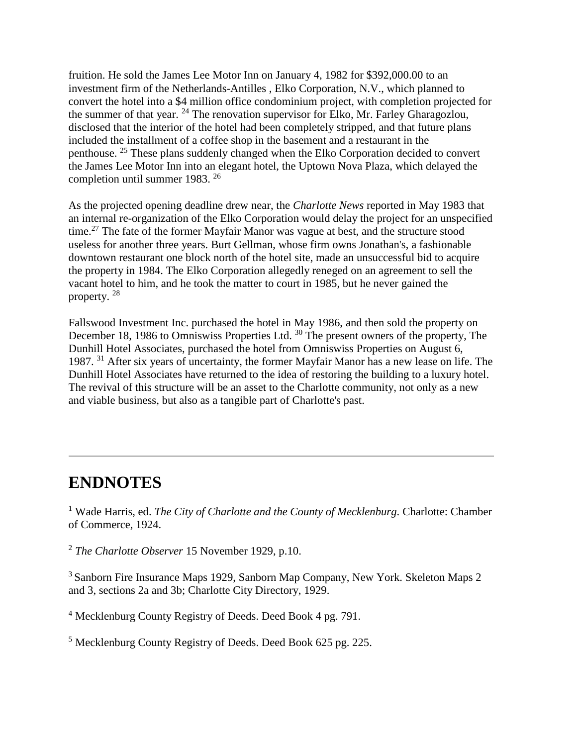fruition. He sold the James Lee Motor Inn on January 4, 1982 for \$392,000.00 to an investment firm of the Netherlands-Antilles , Elko Corporation, N.V., which planned to convert the hotel into a \$4 million office condominium project, with completion projected for the summer of that year.  $^{24}$  The renovation supervisor for Elko, Mr. Farley Gharagozlou, disclosed that the interior of the hotel had been completely stripped, and that future plans included the installment of a coffee shop in the basement and a restaurant in the penthouse. <sup>25</sup> These plans suddenly changed when the Elko Corporation decided to convert the James Lee Motor Inn into an elegant hotel, the Uptown Nova Plaza, which delayed the completion until summer 1983. <sup>26</sup>

As the projected opening deadline drew near, the *Charlotte News* reported in May 1983 that an internal re-organization of the Elko Corporation would delay the project for an unspecified time.<sup>27</sup> The fate of the former Mayfair Manor was vague at best, and the structure stood useless for another three years. Burt Gellman, whose firm owns Jonathan's, a fashionable downtown restaurant one block north of the hotel site, made an unsuccessful bid to acquire the property in 1984. The Elko Corporation allegedly reneged on an agreement to sell the vacant hotel to him, and he took the matter to court in 1985, but he never gained the property. <sup>28</sup>

Fallswood Investment Inc. purchased the hotel in May 1986, and then sold the property on December 18, 1986 to Omniswiss Properties Ltd.<sup>30</sup> The present owners of the property, The Dunhill Hotel Associates, purchased the hotel from Omniswiss Properties on August 6, 1987. <sup>31</sup> After six years of uncertainty, the former Mayfair Manor has a new lease on life. The Dunhill Hotel Associates have returned to the idea of restoring the building to a luxury hotel. The revival of this structure will be an asset to the Charlotte community, not only as a new and viable business, but also as a tangible part of Charlotte's past.

## **ENDNOTES**

<sup>1</sup> Wade Harris, ed. *The City of Charlotte and the County of Mecklenburg*. Charlotte: Chamber of Commerce, 1924.

<sup>2</sup> *The Charlotte Observer* 15 November 1929, p.10.

<sup>3</sup> Sanborn Fire Insurance Maps 1929, Sanborn Map Company, New York. Skeleton Maps 2 and 3, sections 2a and 3b; Charlotte City Directory, 1929.

<sup>4</sup> Mecklenburg County Registry of Deeds. Deed Book 4 pg. 791.

<sup>5</sup> Mecklenburg County Registry of Deeds. Deed Book 625 pg. 225.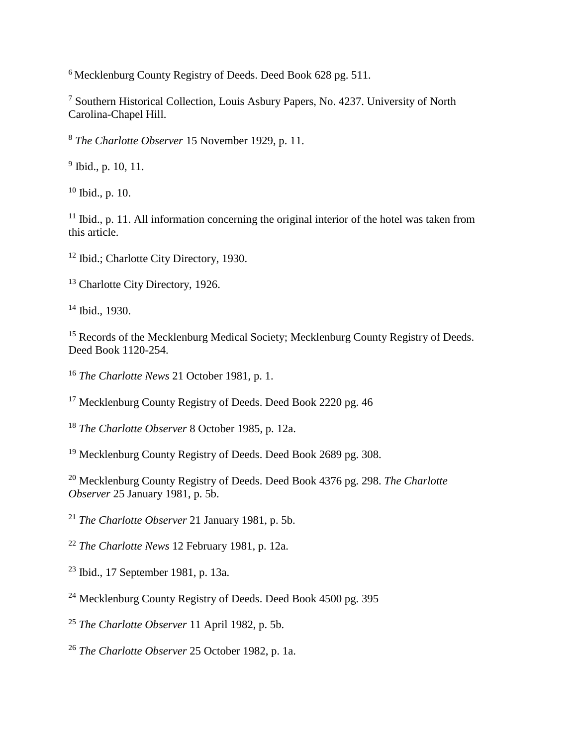<sup>6</sup> Mecklenburg County Registry of Deeds. Deed Book 628 pg. 511.

<sup>7</sup> Southern Historical Collection, Louis Asbury Papers, No. 4237. University of North Carolina-Chapel Hill.

<sup>8</sup> *The Charlotte Observer* 15 November 1929, p. 11.

<sup>9</sup> Ibid., p. 10, 11.

<sup>10</sup> Ibid., p. 10.

 $11$  Ibid., p. 11. All information concerning the original interior of the hotel was taken from this article.

<sup>12</sup> Ibid.; Charlotte City Directory, 1930.

<sup>13</sup> Charlotte City Directory, 1926.

<sup>14</sup> Ibid., 1930.

<sup>15</sup> Records of the Mecklenburg Medical Society; Mecklenburg County Registry of Deeds. Deed Book 1120-254.

<sup>16</sup> *The Charlotte News* 21 October 1981, p. 1.

<sup>17</sup> Mecklenburg County Registry of Deeds. Deed Book 2220 pg. 46

<sup>18</sup> *The Charlotte Observer* 8 October 1985, p. 12a.

<sup>19</sup> Mecklenburg County Registry of Deeds. Deed Book 2689 pg. 308.

<sup>20</sup> Mecklenburg County Registry of Deeds. Deed Book 4376 pg. 298. *The Charlotte Observer* 25 January 1981, p. 5b.

<sup>21</sup> *The Charlotte Observer* 21 January 1981, p. 5b.

<sup>22</sup> *The Charlotte News* 12 February 1981, p. 12a.

<sup>23</sup> Ibid., 17 September 1981, p. 13a.

<sup>24</sup> Mecklenburg County Registry of Deeds. Deed Book 4500 pg. 395

<sup>25</sup> *The Charlotte Observer* 11 April 1982, p. 5b.

<sup>26</sup> *The Charlotte Observer* 25 October 1982, p. 1a.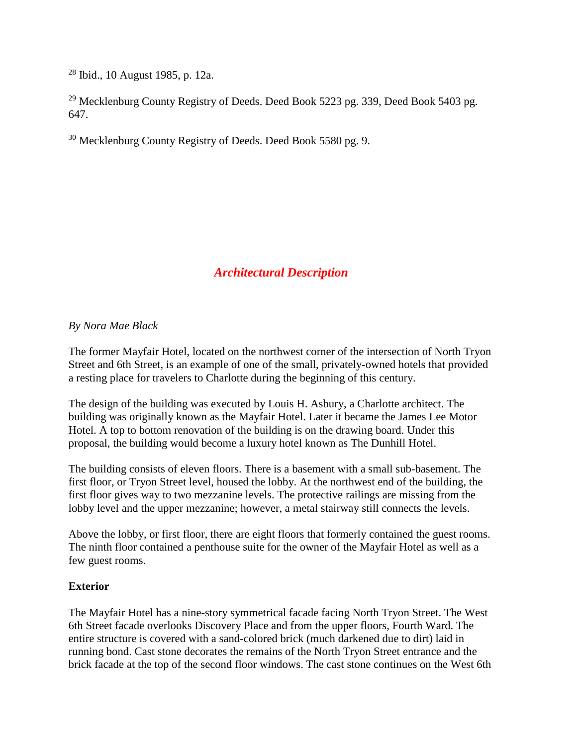$28$  Ibid., 10 August 1985, p. 12a.

<sup>29</sup> Mecklenburg County Registry of Deeds. Deed Book 5223 pg. 339, Deed Book 5403 pg. 647.

<sup>30</sup> Mecklenburg County Registry of Deeds. Deed Book 5580 pg. 9.

### *Architectural Description*

### *By Nora Mae Black*

The former Mayfair Hotel, located on the northwest corner of the intersection of North Tryon Street and 6th Street, is an example of one of the small, privately-owned hotels that provided a resting place for travelers to Charlotte during the beginning of this century.

The design of the building was executed by Louis H. Asbury, a Charlotte architect. The building was originally known as the Mayfair Hotel. Later it became the James Lee Motor Hotel. A top to bottom renovation of the building is on the drawing board. Under this proposal, the building would become a luxury hotel known as The Dunhill Hotel.

The building consists of eleven floors. There is a basement with a small sub-basement. The first floor, or Tryon Street level, housed the lobby. At the northwest end of the building, the first floor gives way to two mezzanine levels. The protective railings are missing from the lobby level and the upper mezzanine; however, a metal stairway still connects the levels.

Above the lobby, or first floor, there are eight floors that formerly contained the guest rooms. The ninth floor contained a penthouse suite for the owner of the Mayfair Hotel as well as a few guest rooms.

### **Exterior**

The Mayfair Hotel has a nine-story symmetrical facade facing North Tryon Street. The West 6th Street facade overlooks Discovery Place and from the upper floors, Fourth Ward. The entire structure is covered with a sand-colored brick (much darkened due to dirt) laid in running bond. Cast stone decorates the remains of the North Tryon Street entrance and the brick facade at the top of the second floor windows. The cast stone continues on the West 6th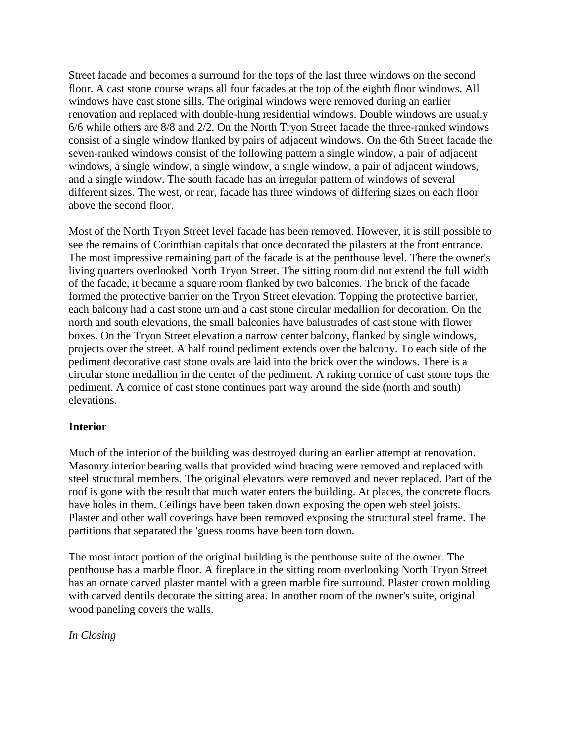Street facade and becomes a surround for the tops of the last three windows on the second floor. A cast stone course wraps all four facades at the top of the eighth floor windows. All windows have cast stone sills. The original windows were removed during an earlier renovation and replaced with double-hung residential windows. Double windows are usually 6/6 while others are 8/8 and 2/2. On the North Tryon Street facade the three-ranked windows consist of a single window flanked by pairs of adjacent windows. On the 6th Street facade the seven-ranked windows consist of the following pattern a single window, a pair of adjacent windows, a single window, a single window, a single window, a pair of adjacent windows, and a single window. The south facade has an irregular pattern of windows of several different sizes. The west, or rear, facade has three windows of differing sizes on each floor above the second floor.

Most of the North Tryon Street level facade has been removed. However, it is still possible to see the remains of Corinthian capitals that once decorated the pilasters at the front entrance. The most impressive remaining part of the facade is at the penthouse level. There the owner's living quarters overlooked North Tryon Street. The sitting room did not extend the full width of the facade, it became a square room flanked by two balconies. The brick of the facade formed the protective barrier on the Tryon Street elevation. Topping the protective barrier, each balcony had a cast stone urn and a cast stone circular medallion for decoration. On the north and south elevations, the small balconies have balustrades of cast stone with flower boxes. On the Tryon Street elevation a narrow center balcony, flanked by single windows, projects over the street. A half round pediment extends over the balcony. To each side of the pediment decorative cast stone ovals are laid into the brick over the windows. There is a circular stone medallion in the center of the pediment. A raking cornice of cast stone tops the pediment. A cornice of cast stone continues part way around the side (north and south) elevations.

### **Interior**

Much of the interior of the building was destroyed during an earlier attempt at renovation. Masonry interior bearing walls that provided wind bracing were removed and replaced with steel structural members. The original elevators were removed and never replaced. Part of the roof is gone with the result that much water enters the building. At places, the concrete floors have holes in them. Ceilings have been taken down exposing the open web steel joists. Plaster and other wall coverings have been removed exposing the structural steel frame. The partitions that separated the 'guess rooms have been torn down.

The most intact portion of the original building is the penthouse suite of the owner. The penthouse has a marble floor. A fireplace in the sitting room overlooking North Tryon Street has an ornate carved plaster mantel with a green marble fire surround. Plaster crown molding with carved dentils decorate the sitting area. In another room of the owner's suite, original wood paneling covers the walls.

*In Closing*